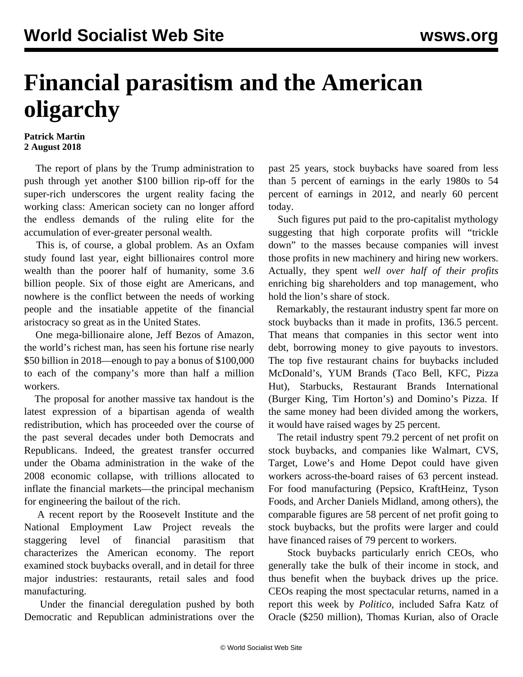## **Financial parasitism and the American oligarchy**

## **Patrick Martin 2 August 2018**

 The report of plans by the Trump administration to push through yet another \$100 billion rip-off for the super-rich underscores the urgent reality facing the working class: American society can no longer afford the endless demands of the ruling elite for the accumulation of ever-greater personal wealth.

 This is, of course, a global problem. As an Oxfam study found last year, eight billionaires control more wealth than the poorer half of humanity, some 3.6 billion people. Six of those eight are Americans, and nowhere is the conflict between the needs of working people and the insatiable appetite of the financial aristocracy so great as in the United States.

 One mega-billionaire alone, Jeff Bezos of Amazon, the world's richest man, has seen his fortune rise nearly \$50 billion in 2018—enough to pay a bonus of \$100,000 to each of the company's more than half a million workers.

 The proposal for another massive tax handout is the latest expression of a bipartisan agenda of wealth redistribution, which has proceeded over the course of the past several decades under both Democrats and Republicans. Indeed, the greatest transfer occurred under the Obama administration in the wake of the 2008 economic collapse, with trillions allocated to inflate the financial markets—the principal mechanism for engineering the bailout of the rich.

 A recent report by the Roosevelt Institute and the National Employment Law Project reveals the staggering level of financial parasitism that characterizes the American economy. The report examined stock buybacks overall, and in detail for three major industries: restaurants, retail sales and food manufacturing.

 Under the financial deregulation pushed by both Democratic and Republican administrations over the past 25 years, stock buybacks have soared from less than 5 percent of earnings in the early 1980s to 54 percent of earnings in 2012, and nearly 60 percent today.

 Such figures put paid to the pro-capitalist mythology suggesting that high corporate profits will "trickle down" to the masses because companies will invest those profits in new machinery and hiring new workers. Actually, they spent *well over half of their profits* enriching big shareholders and top management, who hold the lion's share of stock.

 Remarkably, the restaurant industry spent far more on stock buybacks than it made in profits, 136.5 percent. That means that companies in this sector went into debt, borrowing money to give payouts to investors. The top five restaurant chains for buybacks included McDonald's, YUM Brands (Taco Bell, KFC, Pizza Hut), Starbucks, Restaurant Brands International (Burger King, Tim Horton's) and Domino's Pizza. If the same money had been divided among the workers, it would have raised wages by 25 percent.

 The retail industry spent 79.2 percent of net profit on stock buybacks, and companies like Walmart, CVS, Target, Lowe's and Home Depot could have given workers across-the-board raises of 63 percent instead. For food manufacturing (Pepsico, KraftHeinz, Tyson Foods, and Archer Daniels Midland, among others), the comparable figures are 58 percent of net profit going to stock buybacks, but the profits were larger and could have financed raises of 79 percent to workers.

 Stock buybacks particularly enrich CEOs, who generally take the bulk of their income in stock, and thus benefit when the buyback drives up the price. CEOs reaping the most spectacular returns, named in a report this week by *Politico,* included Safra Katz of Oracle (\$250 million), Thomas Kurian, also of Oracle